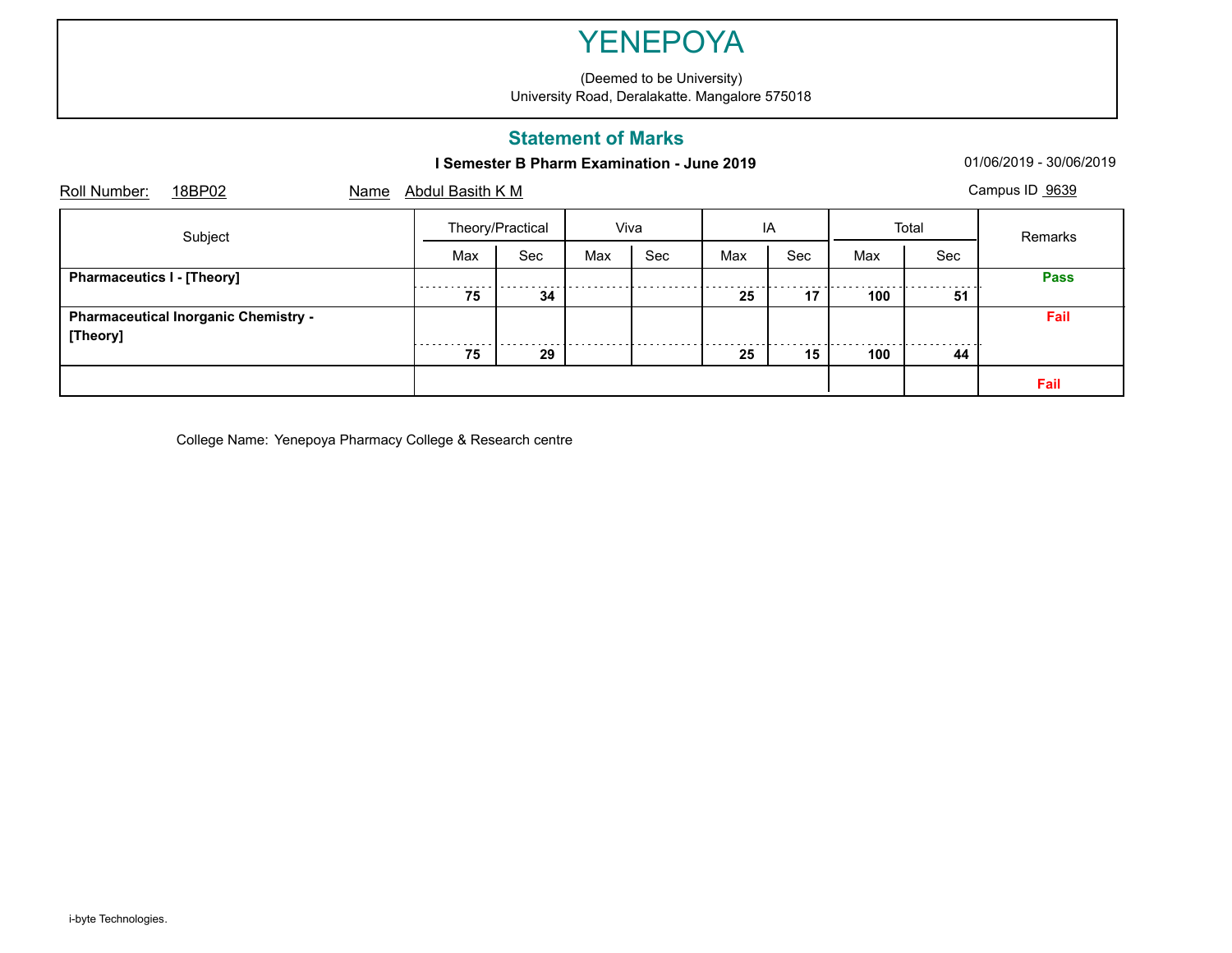(Deemed to be University) University Road, Deralakatte. Mangalore 575018

### **Statement of Marks**

## **I Semester B Pharm Examination - June 2019** 01/06/2019 - 30/06/2019

| Roll Number:                      | 18BP02                                      | Name |                  | Campus ID 9639<br>Abdul Basith K M |      |     |     |     |       |     |             |  |  |
|-----------------------------------|---------------------------------------------|------|------------------|------------------------------------|------|-----|-----|-----|-------|-----|-------------|--|--|
|                                   | Subject                                     |      | Theory/Practical |                                    | Viva |     | IA  |     | Total |     | Remarks     |  |  |
|                                   |                                             |      | Max              | Sec                                | Max  | Sec | Max | Sec | Max   | Sec |             |  |  |
| <b>Pharmaceutics I - [Theory]</b> |                                             |      |                  |                                    |      |     |     |     |       |     | <b>Pass</b> |  |  |
|                                   |                                             |      | 75               | 34                                 |      |     | 25  | 17  | 100   | 51  |             |  |  |
|                                   | <b>Pharmaceutical Inorganic Chemistry -</b> |      |                  |                                    |      |     |     |     |       |     | Fail        |  |  |
| [Theory]                          |                                             |      |                  |                                    |      |     |     |     |       |     |             |  |  |
|                                   |                                             |      | 75               | 29                                 |      |     | 25  | 15  | 100   | 44  |             |  |  |
|                                   |                                             |      |                  |                                    |      |     |     |     |       |     | Fail        |  |  |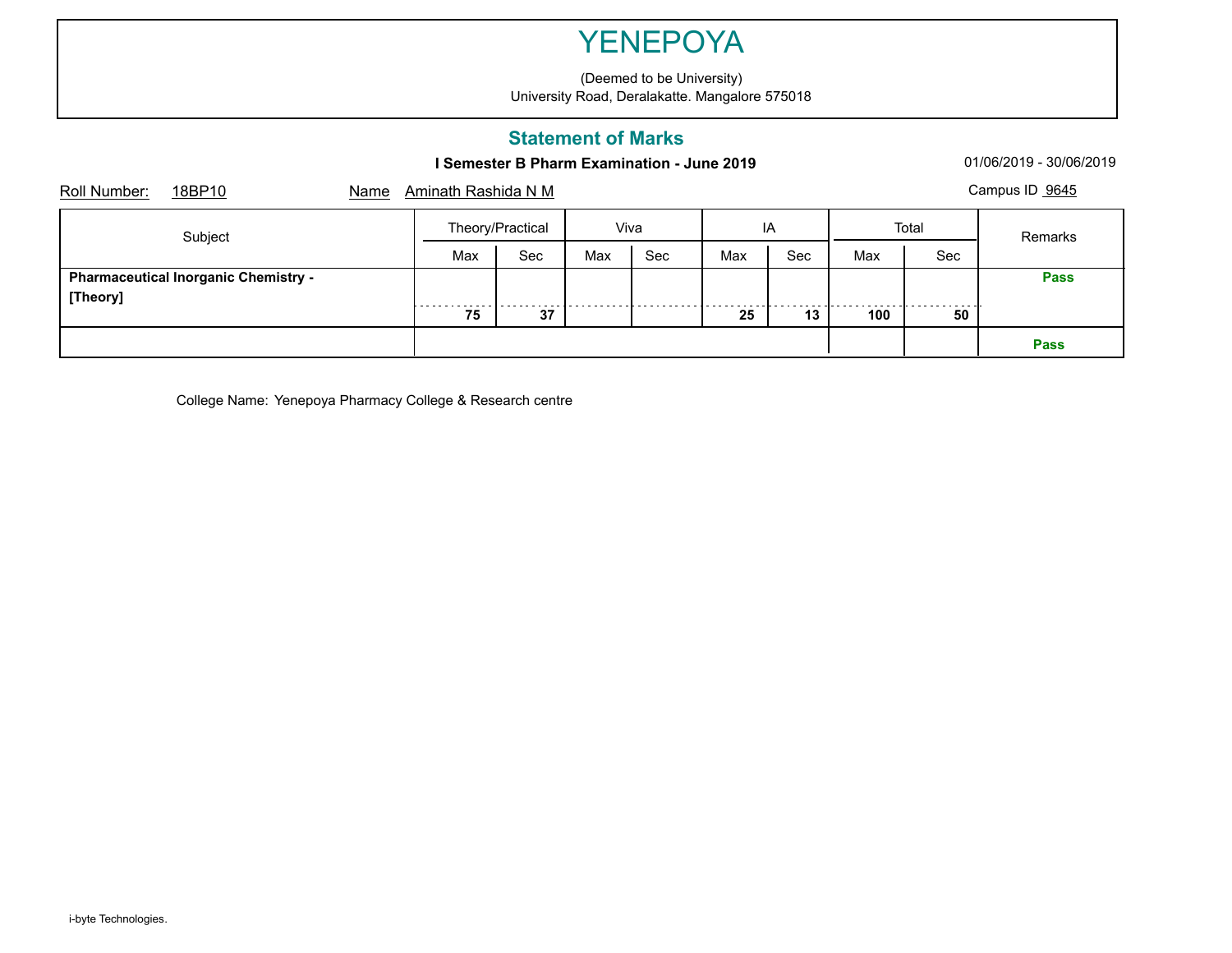(Deemed to be University) University Road, Deralakatte. Mangalore 575018

### **Statement of Marks**

## **I Semester B Pharm Examination - June 2019** 01/06/2019 - 30/06/2019

| Roll Number: | 18BP10                                      | Name | <u>Aminath Rashida N M</u> |                  |     |      |     |     |     |       | Campus ID 9645 |
|--------------|---------------------------------------------|------|----------------------------|------------------|-----|------|-----|-----|-----|-------|----------------|
| Subject      |                                             |      |                            | Theory/Practical |     | Viva |     | ΙA  |     | Total | Remarks        |
|              |                                             |      | Max                        | Sec              | Max | Sec  | Max | Sec | Max | Sec   |                |
| [Theory]     | <b>Pharmaceutical Inorganic Chemistry -</b> |      |                            |                  |     |      |     |     |     |       | <b>Pass</b>    |
|              |                                             |      | 75                         | 37               |     |      | 25  | 13  | 100 | 50    |                |
|              |                                             |      |                            |                  |     |      |     |     |     |       | <b>Pass</b>    |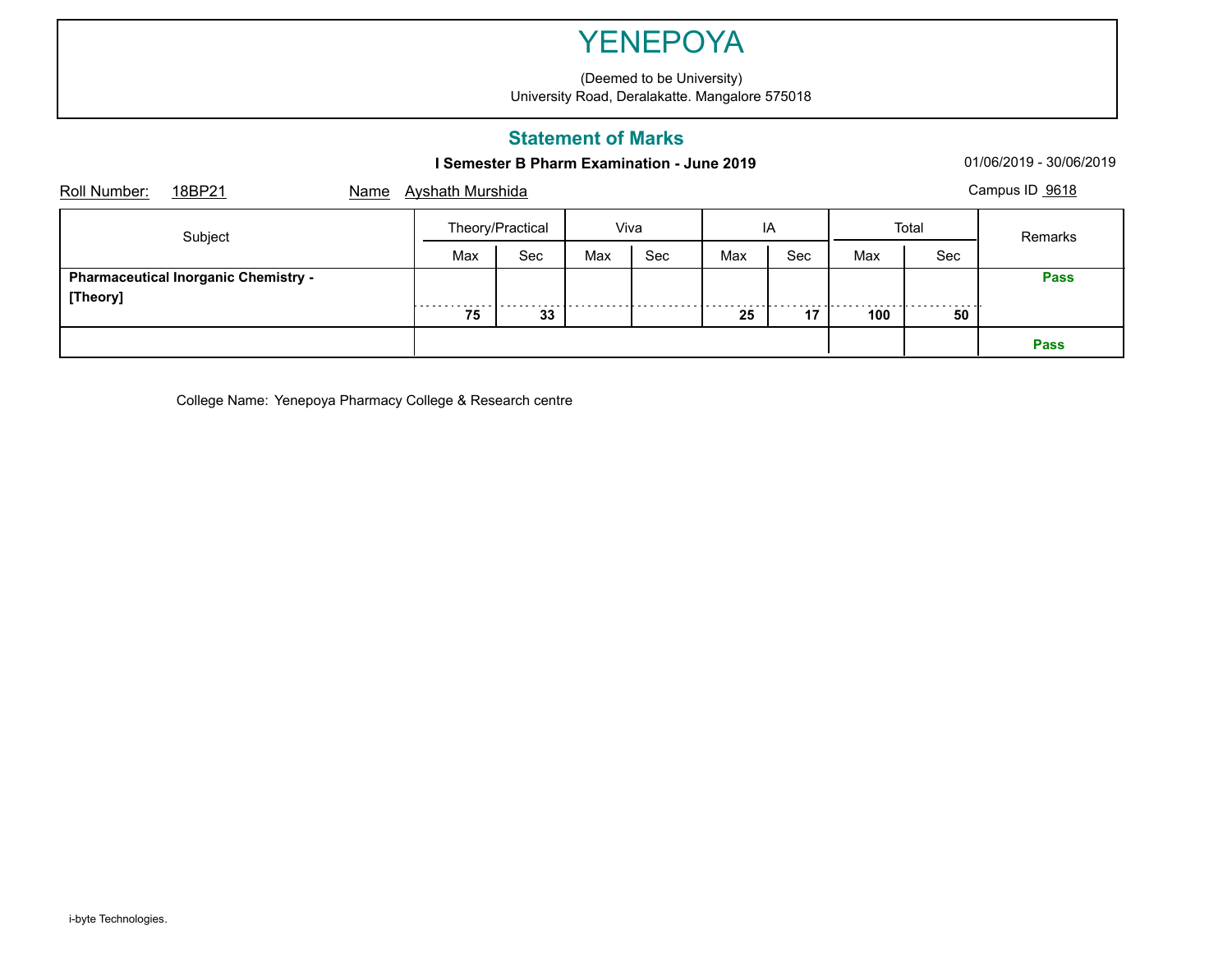(Deemed to be University) University Road, Deralakatte. Mangalore 575018

## **Statement of Marks**

## **I Semester B Pharm Examination - June 2019** 01/06/2019 - 30/06/2019

| Roll Number: | 18BP21                                      | Name | Campus ID 9618<br><b>Ayshath Murshida</b> |     |      |     |     |     |       |     |             |  |
|--------------|---------------------------------------------|------|-------------------------------------------|-----|------|-----|-----|-----|-------|-----|-------------|--|
|              | Subject                                     |      | Theory/Practical                          |     | Viva |     | IA  |     | Total |     | Remarks     |  |
|              |                                             |      | Max                                       | Sec | Max  | Sec | Max | Sec | Max   | Sec |             |  |
| [Theory]     | <b>Pharmaceutical Inorganic Chemistry -</b> |      |                                           |     |      |     |     |     |       |     | <b>Pass</b> |  |
|              |                                             |      | 75                                        | 33  |      |     | 25  | 17  | 100   | 50  |             |  |
|              |                                             |      |                                           |     |      |     |     |     |       |     | <b>Pass</b> |  |